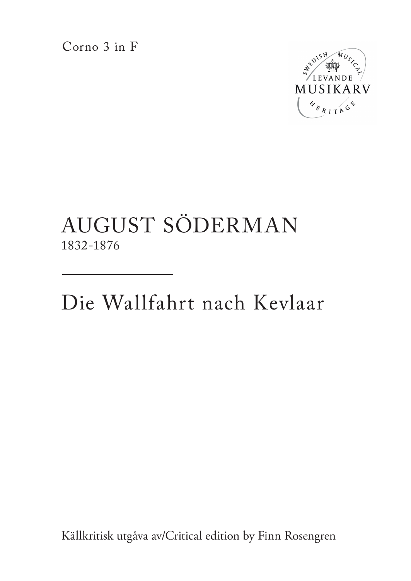Corno 3 in F



## AUGUST SÖDERMAN 1832-1876

Die Wallfahrt nach Kevlaar

Källkritisk utgåva av/Critical edition by Finn Rosengren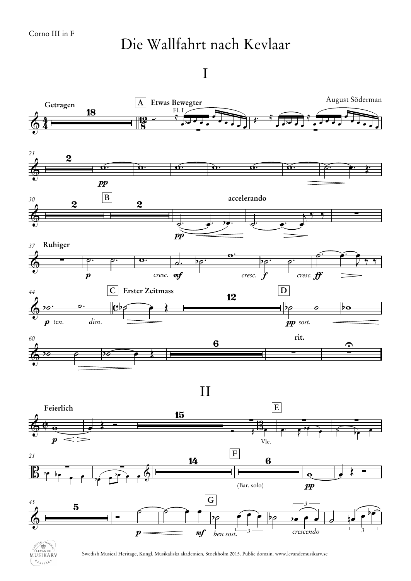## Die Wallfahrt nach Kevlaar

I



MUSIKARV  $\mathcal{N}_{\mathcal{E}_{R+1,0}}$ 

Swedish Musical Heritage, Kungl. Musikaliska akademien, Stockholm 2015. Public domain. www.levandemusikarv.se